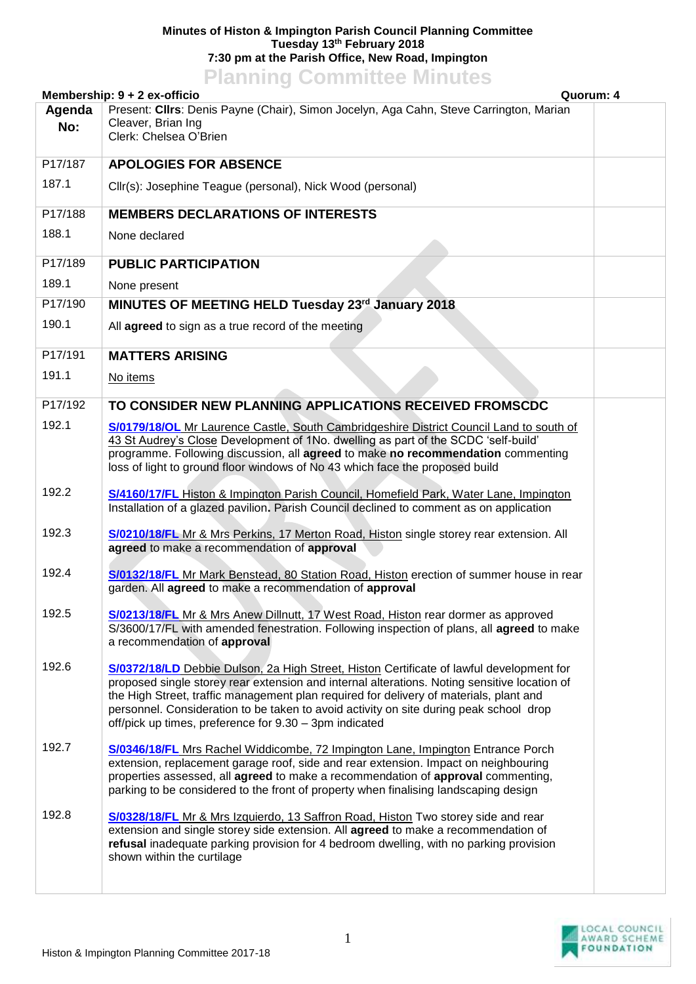## **Minutes of Histon & Impington Parish Council Planning Committee Tuesday 13th February 2018 7:30 pm at the Parish Office, New Road, Impington**

## **Planning Committee Minutes**

| Membership: 9 + 2 ex-officio                                                                                                                                                                                                                                                                                                                                                                                                                    | Quorum: 4 |
|-------------------------------------------------------------------------------------------------------------------------------------------------------------------------------------------------------------------------------------------------------------------------------------------------------------------------------------------------------------------------------------------------------------------------------------------------|-----------|
| Present: Cllrs: Denis Payne (Chair), Simon Jocelyn, Aga Cahn, Steve Carrington, Marian<br>Agenda<br>Cleaver, Brian Ing<br>No:<br>Clerk: Chelsea O'Brien                                                                                                                                                                                                                                                                                         |           |
| P17/187<br><b>APOLOGIES FOR ABSENCE</b>                                                                                                                                                                                                                                                                                                                                                                                                         |           |
| 187.1<br>Cllr(s): Josephine Teague (personal), Nick Wood (personal)                                                                                                                                                                                                                                                                                                                                                                             |           |
| P17/188<br><b>MEMBERS DECLARATIONS OF INTERESTS</b>                                                                                                                                                                                                                                                                                                                                                                                             |           |
| 188.1<br>None declared                                                                                                                                                                                                                                                                                                                                                                                                                          |           |
| P17/189<br><b>PUBLIC PARTICIPATION</b>                                                                                                                                                                                                                                                                                                                                                                                                          |           |
| 189.1<br>None present                                                                                                                                                                                                                                                                                                                                                                                                                           |           |
| MINUTES OF MEETING HELD Tuesday 23rd January 2018<br>P17/190                                                                                                                                                                                                                                                                                                                                                                                    |           |
| 190.1<br>All agreed to sign as a true record of the meeting                                                                                                                                                                                                                                                                                                                                                                                     |           |
| P17/191<br><b>MATTERS ARISING</b>                                                                                                                                                                                                                                                                                                                                                                                                               |           |
| 191.1<br>No items                                                                                                                                                                                                                                                                                                                                                                                                                               |           |
| P17/192<br>TO CONSIDER NEW PLANNING APPLICATIONS RECEIVED FROMSCDC                                                                                                                                                                                                                                                                                                                                                                              |           |
| 192.1<br>S/0179/18/OL Mr Laurence Castle, South Cambridgeshire District Council Land to south of<br>43 St Audrey's Close Development of 1No. dwelling as part of the SCDC 'self-build'<br>programme. Following discussion, all agreed to make no recommendation commenting<br>loss of light to ground floor windows of No 43 which face the proposed build                                                                                      |           |
| 192.2<br>S/4160/17/FL Histon & Impington Parish Council, Homefield Park, Water Lane, Impington<br>Installation of a glazed pavilion. Parish Council declined to comment as on application                                                                                                                                                                                                                                                       |           |
| 192.3<br>S/0210/18/FL Mr & Mrs Perkins, 17 Merton Road, Histon single storey rear extension. All<br>agreed to make a recommendation of approval                                                                                                                                                                                                                                                                                                 |           |
| 192.4<br>S/0132/18/FL Mr Mark Benstead, 80 Station Road, Histon erection of summer house in rear<br>garden. All agreed to make a recommendation of approval                                                                                                                                                                                                                                                                                     |           |
| 192.5<br>S/0213/18/FL Mr & Mrs Anew Dillnutt, 17 West Road, Histon rear dormer as approved<br>S/3600/17/FL with amended fenestration. Following inspection of plans, all agreed to make<br>a recommendation of approval                                                                                                                                                                                                                         |           |
| 192.6<br>S/0372/18/LD Debbie Dulson, 2a High Street, Histon Certificate of lawful development for<br>proposed single storey rear extension and internal alterations. Noting sensitive location of<br>the High Street, traffic management plan required for delivery of materials, plant and<br>personnel. Consideration to be taken to avoid activity on site during peak school drop<br>off/pick up times, preference for 9.30 - 3pm indicated |           |
| 192.7<br><b>S/0346/18/FL Mrs Rachel Widdicombe, 72 Impington Lane, Impington Entrance Porch</b><br>extension, replacement garage roof, side and rear extension. Impact on neighbouring<br>properties assessed, all agreed to make a recommendation of approval commenting,<br>parking to be considered to the front of property when finalising landscaping design                                                                              |           |
| 192.8<br>S/0328/18/FL Mr & Mrs Izquierdo, 13 Saffron Road, Histon Two storey side and rear<br>extension and single storey side extension. All agreed to make a recommendation of<br>refusal inadequate parking provision for 4 bedroom dwelling, with no parking provision<br>shown within the curtilage                                                                                                                                        |           |